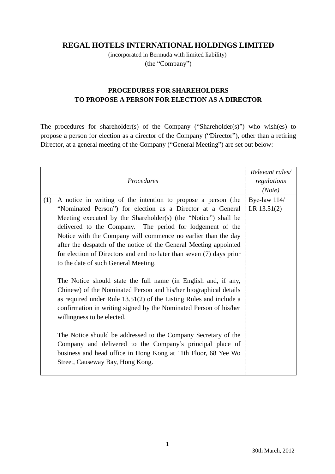## **REGAL HOTELS INTERNATIONAL HOLDINGS LIMITED**

(incorporated in Bermuda with limited liability) (the "Company")

## **PROCEDURES FOR SHAREHOLDERS TO PROPOSE A PERSON FOR ELECTION AS A DIRECTOR**

The procedures for shareholder(s) of the Company ("Shareholder(s)") who wish(es) to propose a person for election as a director of the Company ("Director"), other than a retiring Director, at a general meeting of the Company ("General Meeting") are set out below:

| Procedures                                                                                                                                                                                                                                                                                                                                                                                                                                                                                                                                                                                                                                                                                                                                                                                                                                                                                                                                                                                                                                                                      | Relevant rules/<br>regulations<br>(Note) |
|---------------------------------------------------------------------------------------------------------------------------------------------------------------------------------------------------------------------------------------------------------------------------------------------------------------------------------------------------------------------------------------------------------------------------------------------------------------------------------------------------------------------------------------------------------------------------------------------------------------------------------------------------------------------------------------------------------------------------------------------------------------------------------------------------------------------------------------------------------------------------------------------------------------------------------------------------------------------------------------------------------------------------------------------------------------------------------|------------------------------------------|
| (1)<br>A notice in writing of the intention to propose a person (the<br>"Nominated Person") for election as a Director at a General<br>Meeting executed by the Shareholder(s) (the "Notice") shall be<br>delivered to the Company. The period for lodgement of the<br>Notice with the Company will commence no earlier than the day<br>after the despatch of the notice of the General Meeting appointed<br>for election of Directors and end no later than seven (7) days prior<br>to the date of such General Meeting.<br>The Notice should state the full name (in English and, if any,<br>Chinese) of the Nominated Person and his/her biographical details<br>as required under Rule $13.51(2)$ of the Listing Rules and include a<br>confirmation in writing signed by the Nominated Person of his/her<br>willingness to be elected.<br>The Notice should be addressed to the Company Secretary of the<br>Company and delivered to the Company's principal place of<br>business and head office in Hong Kong at 11th Floor, 68 Yee Wo<br>Street, Causeway Bay, Hong Kong. | Bye-law 114/<br>LR $13.51(2)$            |